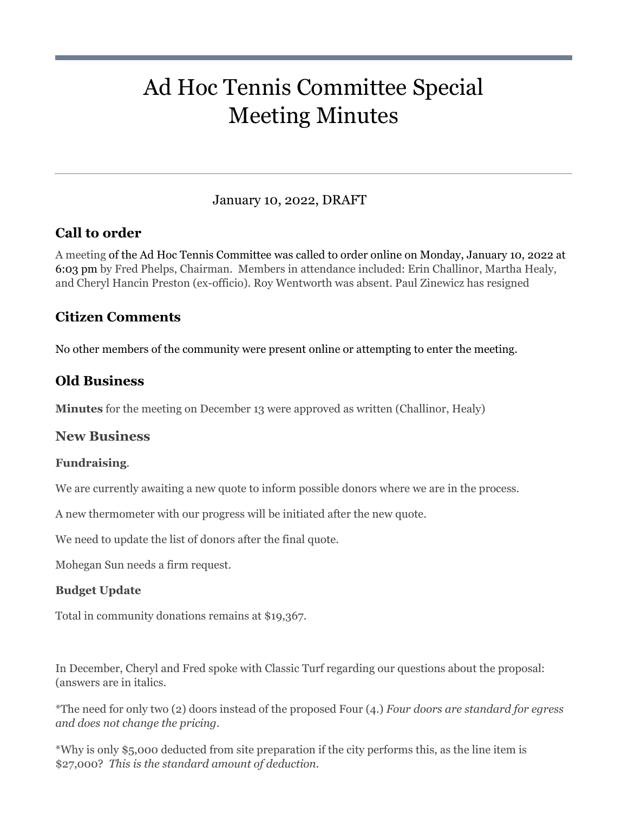# Ad Hoc Tennis Committee Special Meeting Minutes

## January 10, 2022, DRAFT

# **Call to order**

A meeting of the Ad Hoc Tennis Committee was called to order online on Monday, January 10, 2022 at 6:03 pm by Fred Phelps, Chairman. Members in attendance included: Erin Challinor, Martha Healy, and Cheryl Hancin Preston (ex-officio). Roy Wentworth was absent. Paul Zinewicz has resigned

# **Citizen Comments**

No other members of the community were present online or attempting to enter the meeting.

# **Old Business**

**Minutes** for the meeting on December 13 were approved as written (Challinor, Healy)

## **New Business**

## **Fundraising**.

We are currently awaiting a new quote to inform possible donors where we are in the process.

A new thermometer with our progress will be initiated after the new quote.

We need to update the list of donors after the final quote.

Mohegan Sun needs a firm request.

## **Budget Update**

Total in community donations remains at \$19,367.

In December, Cheryl and Fred spoke with Classic Turf regarding our questions about the proposal: (answers are in italics.

\*The need for only two (2) doors instead of the proposed Four (4.) *Four doors are standard for egress and does not change the pricing.* 

\*Why is only \$5,000 deducted from site preparation if the city performs this, as the line item is \$27,000? *This is the standard amount of deduction.*